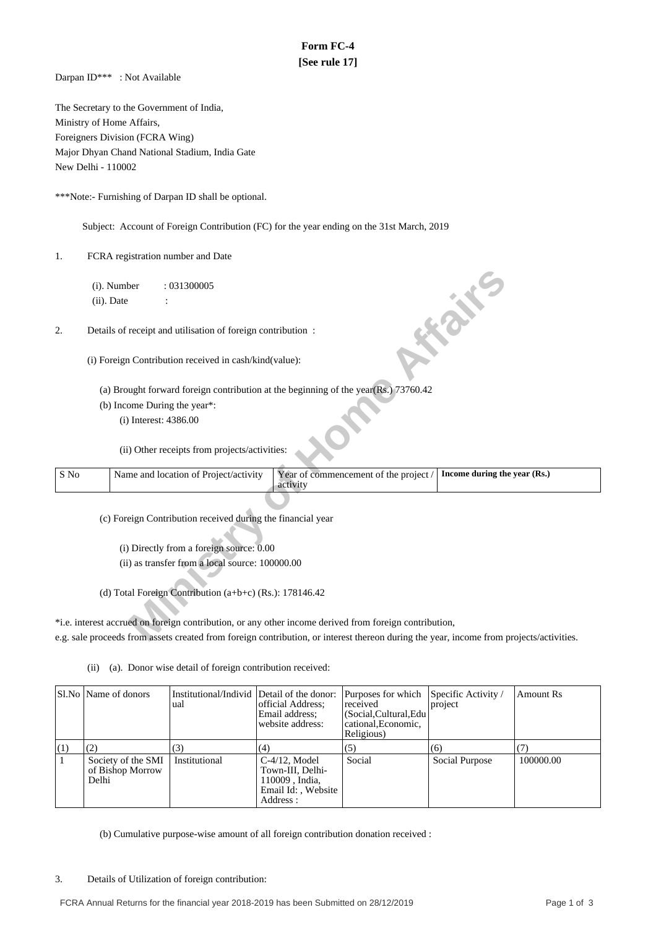# **Form FC-4 [See rule 17]**

Darpan ID\*\*\* : Not Available

The Secretary to the Government of India, Ministry of Home Affairs, Foreigners Division (FCRA Wing) Major Dhyan Chand National Stadium, India Gate New Delhi - 110002

\*\*\*Note:- Furnishing of Darpan ID shall be optional.

Subject: Account of Foreign Contribution (FC) for the year ending on the 31st March, 2019

1. FCRA registration number and Date

|      |               | (i). Number             | : 031300005                                                 |                                                                                                                                         |                              |
|------|---------------|-------------------------|-------------------------------------------------------------|-----------------------------------------------------------------------------------------------------------------------------------------|------------------------------|
|      | $(ii)$ . Date |                         |                                                             |                                                                                                                                         |                              |
| 2.   |               |                         | Details of receipt and utilisation of foreign contribution: |                                                                                                                                         | <b>FORE</b>                  |
|      |               |                         | (i) Foreign Contribution received in cash/kind(value):      |                                                                                                                                         |                              |
|      |               |                         |                                                             | (a) Brought forward foreign contribution at the beginning of the year $(Rs.)$ 73760.42                                                  |                              |
|      |               |                         | (b) Income During the year*:                                |                                                                                                                                         |                              |
|      |               | $(i)$ Interest: 4386.00 |                                                             |                                                                                                                                         |                              |
|      |               |                         |                                                             |                                                                                                                                         |                              |
|      |               |                         | (ii) Other receipts from projects/activities:               |                                                                                                                                         |                              |
| S No |               |                         | Name and location of Project/activity                       | Year of commencement of the project /<br>activity                                                                                       | Income during the year (Rs.) |
|      |               |                         |                                                             |                                                                                                                                         |                              |
|      |               |                         | (c) Foreign Contribution received during the financial year |                                                                                                                                         |                              |
|      |               |                         |                                                             |                                                                                                                                         |                              |
|      |               |                         | (i) Directly from a foreign source: 0.00                    |                                                                                                                                         |                              |
|      |               |                         | (ii) as transfer from a local source: 100000.00             |                                                                                                                                         |                              |
|      |               |                         |                                                             |                                                                                                                                         |                              |
|      |               |                         | (d) Total Foreign Contribution (a+b+c) (Rs.): 178146.42     |                                                                                                                                         |                              |
|      |               |                         |                                                             |                                                                                                                                         |                              |
|      |               |                         |                                                             | *i.e. interest accrued on foreign contribution, or any other income derived from foreign contribution,                                  |                              |
|      |               |                         |                                                             | e.g. sale proceeds from assets created from foreign contribution, or interest thereon during the year, income from projects/activities. |                              |

(ii) (a). Donor wise detail of foreign contribution received:

|      | Sl.No   Name of donors                          | Institutional/Individ Detail of the donor:<br>ual | official Address;<br>Email address:<br>website address:                                   | Purposes for which<br>received<br>(Social, Cultural, Edu<br>cational, Economic,<br>Religious) | Specific Activity /<br>project | Amount Rs |
|------|-------------------------------------------------|---------------------------------------------------|-------------------------------------------------------------------------------------------|-----------------------------------------------------------------------------------------------|--------------------------------|-----------|
| [(1) | (2)                                             | (3)                                               | (4)                                                                                       | (5)                                                                                           | (6)                            | (7)       |
|      | Society of the SMI<br>of Bishop Morrow<br>Delhi | Institutional                                     | $C-4/12$ , Model<br>Town-III. Delhi-<br>110009, India,<br>Email Id:, Website<br>Address : | Social                                                                                        | Social Purpose                 | 100000.00 |

(b) Cumulative purpose-wise amount of all foreign contribution donation received :

3. Details of Utilization of foreign contribution: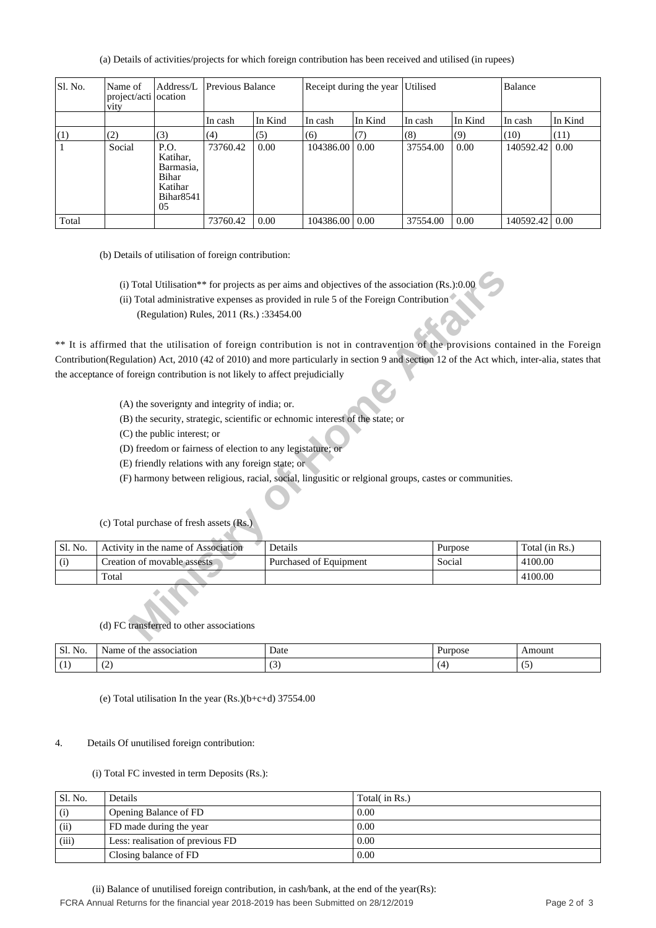(a) Details of activities/projects for which foreign contribution has been received and utilised (in rupees)

| Sl. No. | Name of<br>project/acti ocation<br><b>V1ty</b> | Address/L                                                                               | Previous Balance<br>Receipt during the year Utilised |         |                  |         | Balance  |         |           |         |
|---------|------------------------------------------------|-----------------------------------------------------------------------------------------|------------------------------------------------------|---------|------------------|---------|----------|---------|-----------|---------|
|         |                                                |                                                                                         | In cash                                              | In Kind | In cash          | In Kind | In cash  | In Kind | In cash   | In Kind |
| (1)     | (2)                                            | (3)                                                                                     | (4)                                                  | (5)     | (6)              | (7)     | (8)      | (9)     | (10)      | (11)    |
|         | Social                                         | P.O.<br>Katihar,<br>Barmasia,<br><b>Bihar</b><br>Katihar<br>Bihar <sub>8541</sub><br>05 | 73760.42                                             | 0.00    | 104386.00        | 0.00    | 37554.00 | 0.00    | 140592.42 | 0.00    |
| Total   |                                                |                                                                                         | 73760.42                                             | 0.00    | 104386.00   0.00 |         | 37554.00 | 0.00    | 140592.42 | 0.00    |

(b) Details of utilisation of foreign contribution:

- (i) Total Utilisation\*\* for projects as per aims and objectives of the association (Rs.):0.00
- (ii) Total administrative expenses as provided in rule 5 of the Foreign Contribution
	- (Regulation) Rules, 2011 (Rs.) :33454.00

- (A) the soverignty and integrity of india; or.
- (B) the security, strategic, scientific or echnomic interest of the state; or
- (C) the public interest; or
- (D) freedom or fairness of election to any legistature; or
- (E) friendly relations with any foreign state; or
- (F) harmony between religious, racial, social, lingusitic or relgional groups, castes or communities.

| (i) Total Utilisation** for projects as per aims and objectives of the association (Rs.):0.00 |                                                                                                                                             |                                                                                                       |         |                |  |  |  |  |
|-----------------------------------------------------------------------------------------------|---------------------------------------------------------------------------------------------------------------------------------------------|-------------------------------------------------------------------------------------------------------|---------|----------------|--|--|--|--|
|                                                                                               |                                                                                                                                             | (ii) Total administrative expenses as provided in rule 5 of the Foreign Contribution                  |         |                |  |  |  |  |
|                                                                                               | (Regulation) Rules, 2011 (Rs.):33454.00                                                                                                     |                                                                                                       |         |                |  |  |  |  |
|                                                                                               | ** It is affirmed that the utilisation of foreign contribution is not in contravention of the provisions contained in the Foreign           |                                                                                                       |         |                |  |  |  |  |
|                                                                                               | Contribution(Regulation) Act, 2010 (42 of 2010) and more particularly in section 9 and section 12 of the Act which, inter-alia, states that |                                                                                                       |         |                |  |  |  |  |
|                                                                                               | the acceptance of foreign contribution is not likely to affect prejudicially                                                                |                                                                                                       |         |                |  |  |  |  |
|                                                                                               | (A) the soverignty and integrity of india; or.                                                                                              |                                                                                                       |         |                |  |  |  |  |
|                                                                                               | (B) the security, strategic, scientific or echnomic interest of the state; or                                                               |                                                                                                       |         |                |  |  |  |  |
|                                                                                               | (C) the public interest; or                                                                                                                 |                                                                                                       |         |                |  |  |  |  |
|                                                                                               | (D) freedom or fairness of election to any legistature; or                                                                                  |                                                                                                       |         |                |  |  |  |  |
|                                                                                               | (E) friendly relations with any foreign state; or                                                                                           |                                                                                                       |         |                |  |  |  |  |
|                                                                                               |                                                                                                                                             | (F) harmony between religious, racial, social, lingusitic or relgional groups, castes or communities. |         |                |  |  |  |  |
|                                                                                               |                                                                                                                                             |                                                                                                       |         |                |  |  |  |  |
|                                                                                               | (c) Total purchase of fresh assets (Rs.)                                                                                                    |                                                                                                       |         |                |  |  |  |  |
| Sl. No.                                                                                       | Activity in the name of Association                                                                                                         | Details                                                                                               | Purpose | Total (in Rs.) |  |  |  |  |
| (i)                                                                                           | Creation of movable assests                                                                                                                 | Purchased of Equipment                                                                                | Social  | 4100.00        |  |  |  |  |
|                                                                                               | Total                                                                                                                                       |                                                                                                       |         | 4100.00        |  |  |  |  |
|                                                                                               | (d) FC transferred to other associations                                                                                                    |                                                                                                       |         |                |  |  |  |  |
|                                                                                               |                                                                                                                                             |                                                                                                       |         |                |  |  |  |  |

(c) Total purchase of fresh assets (Rs.)

# (d) FC transferred to other associations

| C1<br>$\mathbf{r}$<br>N <sub>O</sub> .<br>51. | association<br>vame<br>the<br>vı | Date | Purpose | Amount                                           |
|-----------------------------------------------|----------------------------------|------|---------|--------------------------------------------------|
|                                               | $\sim$<br>. .                    |      |         | $\overline{\phantom{0}}$<br>$\ddot{\phantom{0}}$ |

(e) Total utilisation In the year (Rs.)(b+c+d) 37554.00

# 4. Details Of unutilised foreign contribution:

# (i) Total FC invested in term Deposits (Rs.):

| Sl. No. | Details                          | Total( in Rs.) |
|---------|----------------------------------|----------------|
| (i)     | Opening Balance of FD            | 0.00           |
| (ii)    | FD made during the year          | 0.00           |
| (iii)   | Less: realisation of previous FD | 0.00           |
|         | Closing balance of FD            | 0.00           |

 (ii) Balance of unutilised foreign contribution, in cash/bank, at the end of the year(Rs): FCRA Annual Returns for the financial year 2018-2019 has been Submitted on 28/12/2019